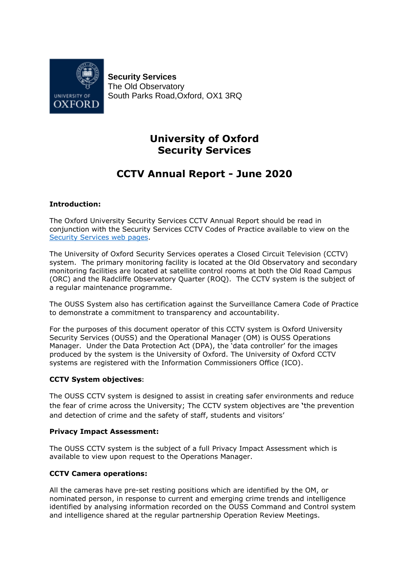

**Security Services** The Old Observatory South Parks Road,Oxford, OX1 3RQ

# **University of Oxford Security Services**

# **CCTV Annual Report - June 2020**

# **Introduction:**

The Oxford University Security Services CCTV Annual Report should be read in conjunction with the Security Services CCTV Codes of Practice available to view on the [Security Services web pages.](https://estates.admin.ox.ac.uk/security-services)

The University of Oxford Security Services operates a Closed Circuit Television (CCTV) system. The primary monitoring facility is located at the Old Observatory and secondary monitoring facilities are located at satellite control rooms at both the Old Road Campus (ORC) and the Radcliffe Observatory Quarter (ROQ). The CCTV system is the subject of a regular maintenance programme.

The OUSS System also has certification against the Surveillance Camera Code of Practice to demonstrate a commitment to transparency and accountability.

For the purposes of this document operator of this CCTV system is Oxford University Security Services (OUSS) and the Operational Manager (OM) is OUSS Operations Manager. Under the Data Protection Act (DPA), the 'data controller' for the images produced by the system is the University of Oxford. The University of Oxford CCTV systems are registered with the Information Commissioners Office (ICO).

# **CCTV System objectives:**

The OUSS CCTV system is designed to assist in creating safer environments and reduce the fear of crime across the University; The CCTV system objectives are **'**the prevention and detection of crime and the safety of staff, students and visitors'

# **Privacy Impact Assessment:**

The OUSS CCTV system is the subject of a full Privacy Impact Assessment which is available to view upon request to the Operations Manager.

# **CCTV Camera operations:**

All the cameras have pre-set resting positions which are identified by the OM, or nominated person, in response to current and emerging crime trends and intelligence identified by analysing information recorded on the OUSS Command and Control system and intelligence shared at the regular partnership Operation Review Meetings.